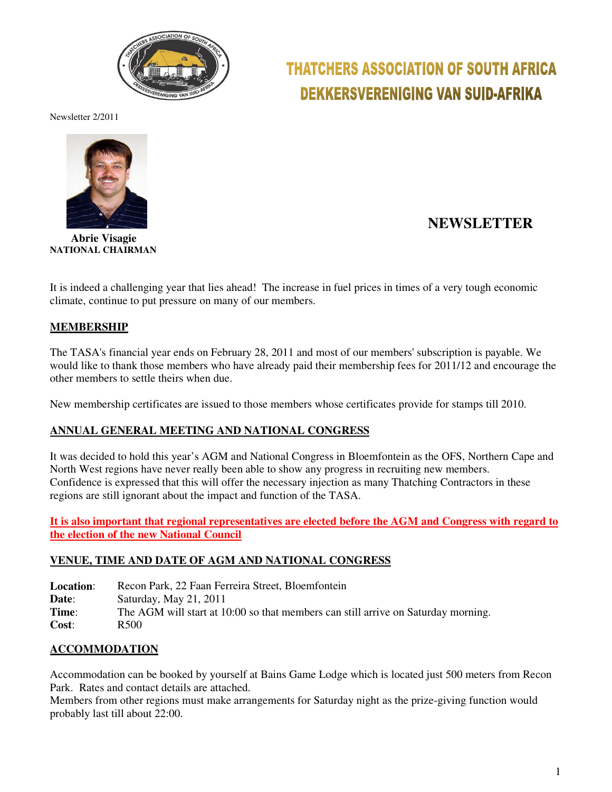

# **THATCHERS ASSOCIATION OF SOUTH AFRICA DEKKERSVERENIGING VAN SUID-AFRIKA**

Newsletter 2/2011



 **Abrie Visagie NATIONAL CHAIRMAN** 

# **NEWSLETTER**

It is indeed a challenging year that lies ahead! The increase in fuel prices in times of a very tough economic climate, continue to put pressure on many of our members.

### **MEMBERSHIP**

The TASA's financial year ends on February 28, 2011 and most of our members' subscription is payable. We would like to thank those members who have already paid their membership fees for 2011/12 and encourage the other members to settle theirs when due.

New membership certificates are issued to those members whose certificates provide for stamps till 2010.

#### **ANNUAL GENERAL MEETING AND NATIONAL CONGRESS**

It was decided to hold this year's AGM and National Congress in Bloemfontein as the OFS, Northern Cape and North West regions have never really been able to show any progress in recruiting new members. Confidence is expressed that this will offer the necessary injection as many Thatching Contractors in these regions are still ignorant about the impact and function of the TASA.

**It is also important that regional representatives are elected before the AGM and Congress with regard to the election of the new National Council**

#### **VENUE, TIME AND DATE OF AGM AND NATIONAL CONGRESS**

**Location**: Recon Park, 22 Faan Ferreira Street, Bloemfontein

**Date**: Saturday, May 21, 2011

**Time:** The AGM will start at 10:00 so that members can still arrive on Saturday morning.

**Cost**: R500

#### **ACCOMMODATION**

Accommodation can be booked by yourself at Bains Game Lodge which is located just 500 meters from Recon Park. Rates and contact details are attached.

Members from other regions must make arrangements for Saturday night as the prize-giving function would probably last till about 22:00.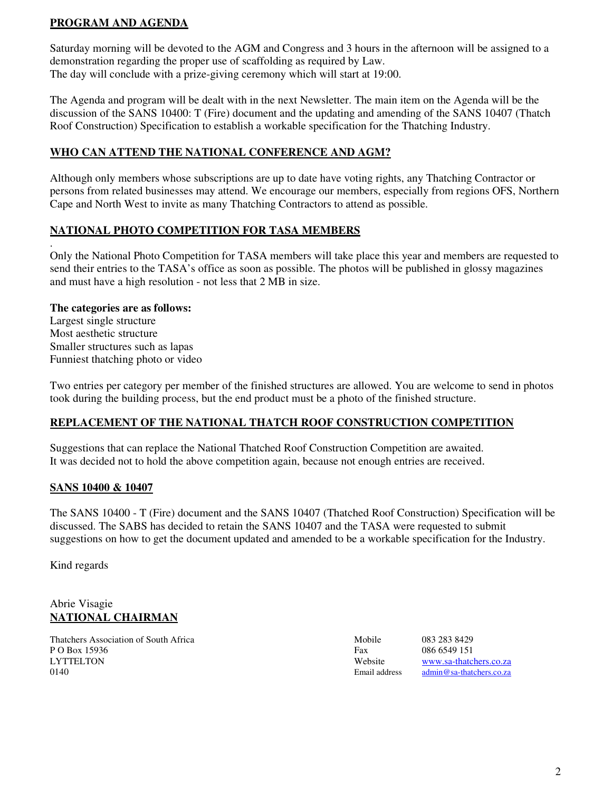## **PROGRAM AND AGENDA**

Saturday morning will be devoted to the AGM and Congress and 3 hours in the afternoon will be assigned to a demonstration regarding the proper use of scaffolding as required by Law. The day will conclude with a prize-giving ceremony which will start at 19:00.

The Agenda and program will be dealt with in the next Newsletter. The main item on the Agenda will be the discussion of the SANS 10400: T (Fire) document and the updating and amending of the SANS 10407 (Thatch Roof Construction) Specification to establish a workable specification for the Thatching Industry.

# **WHO CAN ATTEND THE NATIONAL CONFERENCE AND AGM?**

Although only members whose subscriptions are up to date have voting rights, any Thatching Contractor or persons from related businesses may attend. We encourage our members, especially from regions OFS, Northern Cape and North West to invite as many Thatching Contractors to attend as possible.

### **NATIONAL PHOTO COMPETITION FOR TASA MEMBERS**

. Only the National Photo Competition for TASA members will take place this year and members are requested to send their entries to the TASA's office as soon as possible. The photos will be published in glossy magazines and must have a high resolution - not less that 2 MB in size.

#### **The categories are as follows:**

Largest single structure Most aesthetic structure Smaller structures such as lapas Funniest thatching photo or video

Two entries per category per member of the finished structures are allowed. You are welcome to send in photos took during the building process, but the end product must be a photo of the finished structure.

### **REPLACEMENT OF THE NATIONAL THATCH ROOF CONSTRUCTION COMPETITION**

Suggestions that can replace the National Thatched Roof Construction Competition are awaited. It was decided not to hold the above competition again, because not enough entries are received.

### **SANS 10400 & 10407**

The SANS 10400 - T (Fire) document and the SANS 10407 (Thatched Roof Construction) Specification will be discussed. The SABS has decided to retain the SANS 10407 and the TASA were requested to submit suggestions on how to get the document updated and amended to be a workable specification for the Industry.

Kind regards

### Abrie Visagie **NATIONAL CHAIRMAN**

Thatchers Association of South Africa Mobile 083 283 8429 P O Box 15936 Fax 086 6549 151<br>
LYTTELTON Website www.sa-thatc 0140 **Email address** admin@sa-thatchers.co.za

Website www.sa-thatchers.co.za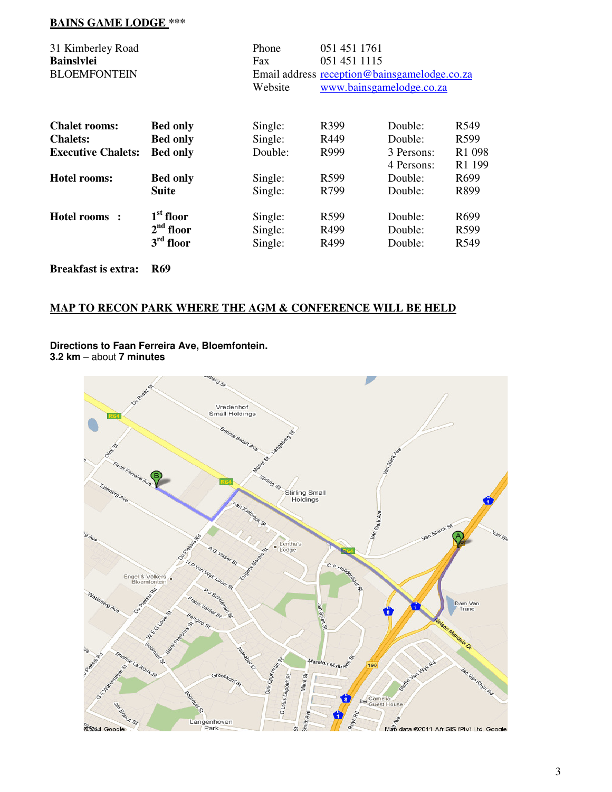# **BAINS GAME LODGE \*\*\***

| 31 Kimberley Road          |                 | Phone   | 051 451 1761<br>051 451 1115<br>Fax |                                              |                              |  |
|----------------------------|-----------------|---------|-------------------------------------|----------------------------------------------|------------------------------|--|
| <b>Bainslylei</b>          |                 |         |                                     |                                              |                              |  |
| <b>BLOEMFONTEIN</b>        |                 |         |                                     | Email address reception@bainsgamelodge.co.za |                              |  |
|                            |                 | Website | www.bainsgamelodge.co.za            |                                              |                              |  |
| <b>Chalet rooms:</b>       | <b>Bed only</b> | Single: | R399                                | Double:                                      | R549                         |  |
| <b>Chalets:</b>            | <b>Bed only</b> | Single: | R449                                | Double:                                      | R599                         |  |
| <b>Executive Chalets:</b>  | <b>Bed only</b> | Double: | R999                                | 3 Persons:<br>4 Persons:                     | R <sub>1</sub> 098<br>R1 199 |  |
| <b>Hotel rooms:</b>        | <b>Bed only</b> | Single: | R <sub>599</sub>                    | Double:                                      | R <sub>699</sub>             |  |
|                            | <b>Suite</b>    | Single: | R799                                | Double:                                      | R899                         |  |
| Hotel rooms:               | $1st$ floor     | Single: | R599                                | Double:                                      | R <sub>699</sub>             |  |
|                            | $2nd$ floor     | Single: | R499                                | Double:                                      | R599                         |  |
|                            | $3rd$ floor     | Single: | R <sub>499</sub>                    | Double:                                      | R549                         |  |
| <b>Breakfast is extra:</b> | <b>R69</b>      |         |                                     |                                              |                              |  |

# **MAP TO RECON PARK WHERE THE AGM & CONFERENCE WILL BE HELD**

**Directions to Faan Ferreira Ave, Bloemfontein.** 

**3.2 km** – about **7 minutes**